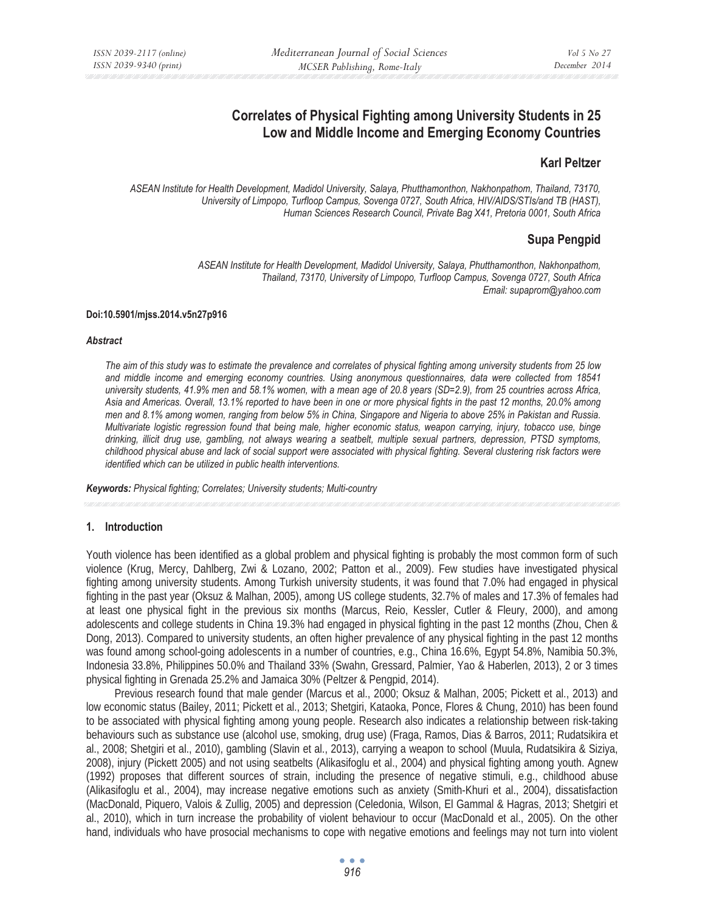# **Correlates of Physical Fighting among University Students in 25 Low and Middle Income and Emerging Economy Countries**

#### **Karl Peltzer**

*ASEAN Institute for Health Development, Madidol University, Salaya, Phutthamonthon, Nakhonpathom, Thailand, 73170, University of Limpopo, Turfloop Campus, Sovenga 0727, South Africa, HIV/AIDS/STIs/and TB (HAST), Human Sciences Research Council, Private Bag X41, Pretoria 0001, South Africa* 

## **Supa Pengpid**

*ASEAN Institute for Health Development, Madidol University, Salaya, Phutthamonthon, Nakhonpathom, Thailand, 73170, University of Limpopo, Turfloop Campus, Sovenga 0727, South Africa Email: supaprom@yahoo.com* 

#### **Doi:10.5901/mjss.2014.v5n27p916**

#### *Abstract*

*The aim of this study was to estimate the prevalence and correlates of physical fighting among university students from 25 low and middle income and emerging economy countries. Using anonymous questionnaires, data were collected from 18541 university students, 41.9% men and 58.1% women, with a mean age of 20.8 years (SD=2.9), from 25 countries across Africa, Asia and Americas. Overall, 13.1% reported to have been in one or more physical fights in the past 12 months, 20.0% among men and 8.1% among women, ranging from below 5% in China, Singapore and Nigeria to above 25% in Pakistan and Russia. Multivariate logistic regression found that being male, higher economic status, weapon carrying, injury, tobacco use, binge drinking, illicit drug use, gambling, not always wearing a seatbelt, multiple sexual partners, depression, PTSD symptoms, childhood physical abuse and lack of social support were associated with physical fighting. Several clustering risk factors were identified which can be utilized in public health interventions.* 

*Keywords: Physical fighting; Correlates; University students; Multi-country*

#### **1. Introduction**

Youth violence has been identified as a global problem and physical fighting is probably the most common form of such violence (Krug, Mercy, Dahlberg, Zwi & Lozano, 2002; Patton et al., 2009). Few studies have investigated physical fighting among university students. Among Turkish university students, it was found that 7.0% had engaged in physical fighting in the past year (Oksuz & Malhan, 2005), among US college students, 32.7% of males and 17.3% of females had at least one physical fight in the previous six months (Marcus, Reio, Kessler, Cutler & Fleury, 2000), and among adolescents and college students in China 19.3% had engaged in physical fighting in the past 12 months (Zhou, Chen & Dong, 2013). Compared to university students, an often higher prevalence of any physical fighting in the past 12 months was found among school-going adolescents in a number of countries, e.g., China 16.6%, Egypt 54.8%, Namibia 50.3%, Indonesia 33.8%, Philippines 50.0% and Thailand 33% (Swahn, Gressard, Palmier, Yao & Haberlen, 2013), 2 or 3 times physical fighting in Grenada 25.2% and Jamaica 30% (Peltzer & Pengpid, 2014).

Previous research found that male gender (Marcus et al., 2000; Oksuz & Malhan, 2005; Pickett et al., 2013) and low economic status (Bailey, 2011; Pickett et al., 2013; Shetgiri, Kataoka, Ponce, Flores & Chung, 2010) has been found to be associated with physical fighting among young people. Research also indicates a relationship between risk-taking behaviours such as substance use (alcohol use, smoking, drug use) (Fraga, Ramos, Dias & Barros, 2011; Rudatsikira et al., 2008; Shetgiri et al., 2010), gambling (Slavin et al., 2013), carrying a weapon to school (Muula, Rudatsikira & Siziya, 2008), injury (Pickett 2005) and not using seatbelts (Alikasifoglu et al., 2004) and physical fighting among youth. Agnew (1992) proposes that different sources of strain, including the presence of negative stimuli, e.g., childhood abuse (Alikasifoglu et al., 2004), may increase negative emotions such as anxiety (Smith-Khuri et al., 2004), dissatisfaction (MacDonald, Piquero, Valois & Zullig, 2005) and depression (Celedonia, Wilson, El Gammal & Hagras, 2013; Shetgiri et al., 2010), which in turn increase the probability of violent behaviour to occur (MacDonald et al., 2005). On the other hand, individuals who have prosocial mechanisms to cope with negative emotions and feelings may not turn into violent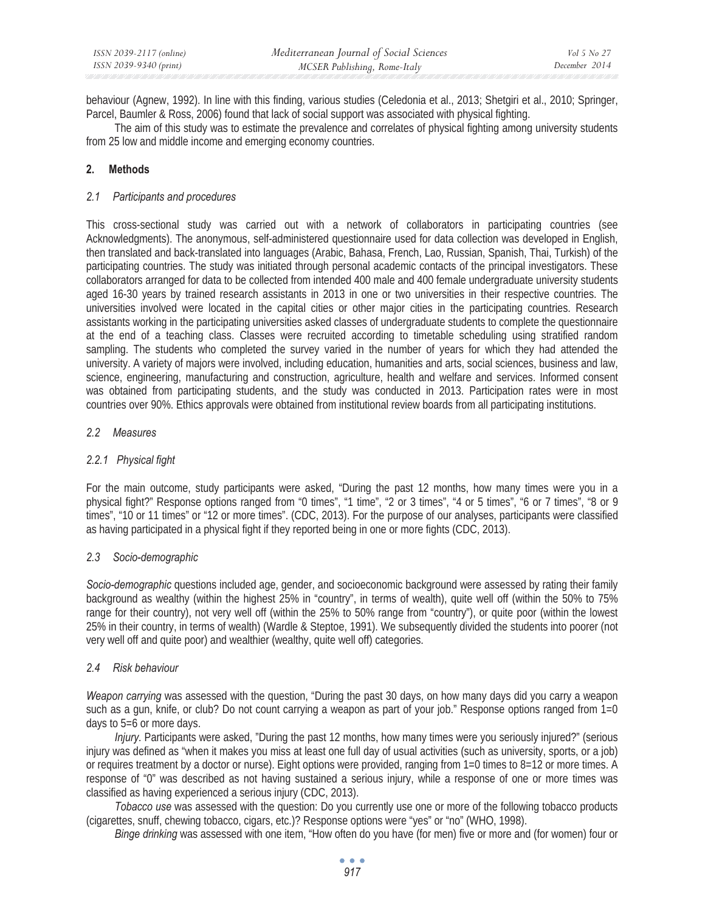behaviour (Agnew, 1992). In line with this finding, various studies (Celedonia et al., 2013; Shetgiri et al., 2010; Springer, Parcel, Baumler & Ross, 2006) found that lack of social support was associated with physical fighting.

The aim of this study was to estimate the prevalence and correlates of physical fighting among university students from 25 low and middle income and emerging economy countries.

## **2. Methods**

### *2.1 Participants and procedures*

This cross-sectional study was carried out with a network of collaborators in participating countries (see Acknowledgments). The anonymous, self-administered questionnaire used for data collection was developed in English, then translated and back-translated into languages (Arabic, Bahasa, French, Lao, Russian, Spanish, Thai, Turkish) of the participating countries. The study was initiated through personal academic contacts of the principal investigators. These collaborators arranged for data to be collected from intended 400 male and 400 female undergraduate university students aged 16-30 years by trained research assistants in 2013 in one or two universities in their respective countries. The universities involved were located in the capital cities or other major cities in the participating countries. Research assistants working in the participating universities asked classes of undergraduate students to complete the questionnaire at the end of a teaching class. Classes were recruited according to timetable scheduling using stratified random sampling. The students who completed the survey varied in the number of years for which they had attended the university. A variety of majors were involved, including education, humanities and arts, social sciences, business and law, science, engineering, manufacturing and construction, agriculture, health and welfare and services. Informed consent was obtained from participating students, and the study was conducted in 2013. Participation rates were in most countries over 90%. Ethics approvals were obtained from institutional review boards from all participating institutions.

### *2.2 Measures*

## *2.2.1 Physical fight*

For the main outcome, study participants were asked, "During the past 12 months, how many times were you in a physical fight?" Response options ranged from "0 times", "1 time", "2 or 3 times", "4 or 5 times", "6 or 7 times", "8 or 9 times", "10 or 11 times" or "12 or more times". (CDC, 2013). For the purpose of our analyses, participants were classified as having participated in a physical fight if they reported being in one or more fights (CDC, 2013).

## *2.3 Socio-demographic*

*Socio-demographic* questions included age, gender, and socioeconomic background were assessed by rating their family background as wealthy (within the highest 25% in "country", in terms of wealth), quite well off (within the 50% to 75% range for their country), not very well off (within the 25% to 50% range from "country"), or quite poor (within the lowest 25% in their country, in terms of wealth) (Wardle & Steptoe, 1991). We subsequently divided the students into poorer (not very well off and quite poor) and wealthier (wealthy, quite well off) categories.

## *2.4 Risk behaviour*

*Weapon carrying* was assessed with the question, "During the past 30 days, on how many days did you carry a weapon such as a gun, knife, or club? Do not count carrying a weapon as part of your job." Response options ranged from 1=0 days to 5=6 or more days.

*Injury.* Participants were asked, "During the past 12 months, how many times were you seriously injured?" (serious injury was defined as "when it makes you miss at least one full day of usual activities (such as university, sports, or a job) or requires treatment by a doctor or nurse). Eight options were provided, ranging from 1=0 times to 8=12 or more times. A response of "0" was described as not having sustained a serious injury, while a response of one or more times was classified as having experienced a serious injury (CDC, 2013).

*Tobacco use* was assessed with the question: Do you currently use one or more of the following tobacco products (cigarettes, snuff, chewing tobacco, cigars, etc.)? Response options were "yes" or "no" (WHO, 1998).

*Binge drinking* was assessed with one item, "How often do you have (for men) five or more and (for women) four or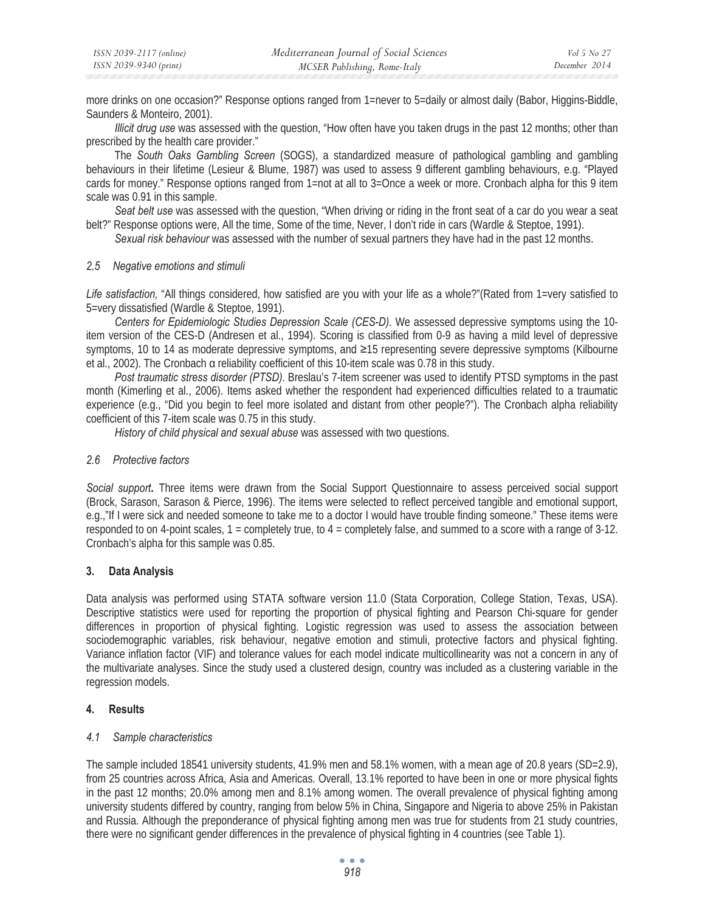more drinks on one occasion?" Response options ranged from 1=never to 5=daily or almost daily (Babor, Higgins-Biddle, Saunders & Monteiro, 2001).

*Illicit drug use* was assessed with the question, "How often have you taken drugs in the past 12 months; other than prescribed by the health care provider."

The *South Oaks Gambling Screen* (SOGS), a standardized measure of pathological gambling and gambling behaviours in their lifetime (Lesieur & Blume, 1987) was used to assess 9 different gambling behaviours, e.g. "Played cards for money." Response options ranged from 1=not at all to 3=Once a week or more. Cronbach alpha for this 9 item scale was 0.91 in this sample.

*Seat belt use* was assessed with the question, "When driving or riding in the front seat of a car do you wear a seat belt?" Response options were, All the time, Some of the time, Never, I don't ride in cars (Wardle & Steptoe, 1991).

*Sexual risk behaviour* was assessed with the number of sexual partners they have had in the past 12 months.

#### *2.5 Negative emotions and stimuli*

*Life satisfaction,* "All things considered, how satisfied are you with your life as a whole?"(Rated from 1=very satisfied to 5=very dissatisfied (Wardle & Steptoe, 1991).

*Centers for Epidemiologic Studies Depression Scale (CES-D).* We assessed depressive symptoms using the 10 item version of the CES-D (Andresen et al., 1994). Scoring is classified from 0-9 as having a mild level of depressive symptoms, 10 to 14 as moderate depressive symptoms, and  $\geq 15$  representing severe depressive symptoms (Kilbourne et al., 2002). The Cronbach  $\alpha$  reliability coefficient of this 10-item scale was 0.78 in this study.

*Post traumatic stress disorder (PTSD).* Breslau's 7-item screener was used to identify PTSD symptoms in the past month (Kimerling et al., 2006). Items asked whether the respondent had experienced difficulties related to a traumatic experience (e.g., "Did you begin to feel more isolated and distant from other people?"). The Cronbach alpha reliability coefficient of this 7-item scale was 0.75 in this study.

*History of child physical and sexual abuse* was assessed with two questions.

### *2.6 Protective factors*

*Social support***.** Three items were drawn from the Social Support Questionnaire to assess perceived social support (Brock, Sarason, Sarason & Pierce, 1996). The items were selected to reflect perceived tangible and emotional support, e.g.,"If I were sick and needed someone to take me to a doctor I would have trouble finding someone." These items were responded to on 4-point scales, 1 = completely true, to 4 = completely false, and summed to a score with a range of 3-12. Cronbach's alpha for this sample was 0.85.

## **3. Data Analysis**

Data analysis was performed using STATA software version 11.0 (Stata Corporation, College Station, Texas, USA). Descriptive statistics were used for reporting the proportion of physical fighting and Pearson Chi-square for gender differences in proportion of physical fighting. Logistic regression was used to assess the association between sociodemographic variables, risk behaviour, negative emotion and stimuli, protective factors and physical fighting. Variance inflation factor (VIF) and tolerance values for each model indicate multicollinearity was not a concern in any of the multivariate analyses. Since the study used a clustered design, country was included as a clustering variable in the regression models.

## **4. Results**

## *4.1 Sample characteristics*

The sample included 18541 university students, 41.9% men and 58.1% women, with a mean age of 20.8 years (SD=2.9), from 25 countries across Africa, Asia and Americas. Overall, 13.1% reported to have been in one or more physical fights in the past 12 months; 20.0% among men and 8.1% among women. The overall prevalence of physical fighting among university students differed by country, ranging from below 5% in China, Singapore and Nigeria to above 25% in Pakistan and Russia. Although the preponderance of physical fighting among men was true for students from 21 study countries, there were no significant gender differences in the prevalence of physical fighting in 4 countries (see Table 1).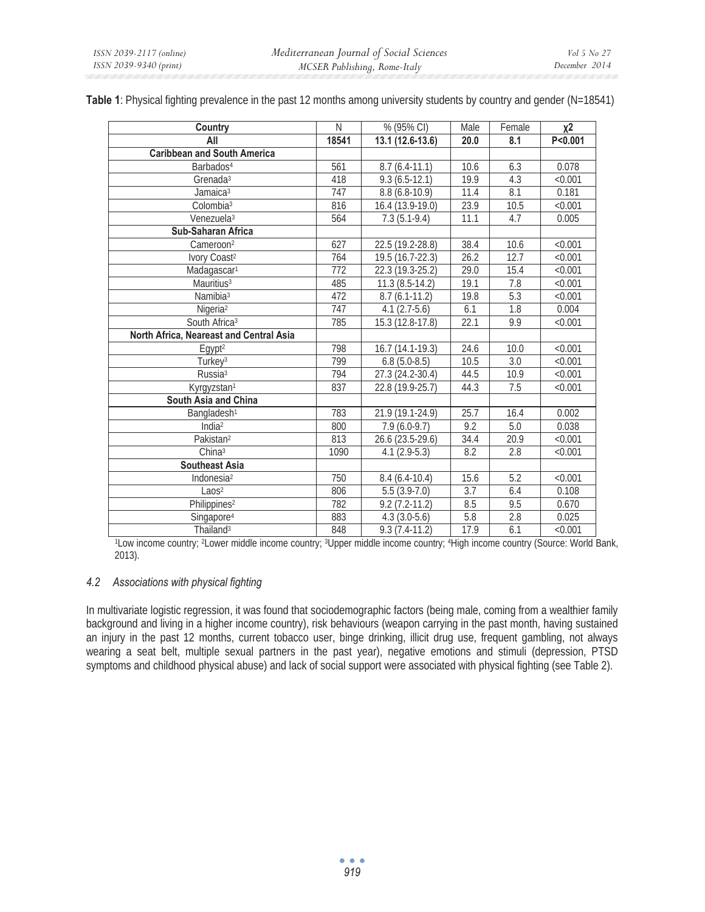| Country                                 | N     | $% (95\% CI)$     | Male | Female           | $x^2$     |
|-----------------------------------------|-------|-------------------|------|------------------|-----------|
| All                                     | 18541 | 13.1 (12.6-13.6)  | 20.0 | 8.1              | P < 0.001 |
| <b>Caribbean and South America</b>      |       |                   |      |                  |           |
| Barbados <sup>4</sup>                   | 561   | $8.7(6.4-11.1)$   | 10.6 | 6.3              | 0.078     |
| Grenada <sup>3</sup>                    | 418   | $9.3(6.5-12.1)$   | 19.9 | 4.3              | < 0.001   |
| Jamaica <sup>3</sup>                    | 747   | $8.8(6.8-10.9)$   | 11.4 | 8.1              | 0.181     |
| Colombia <sup>3</sup>                   | 816   | $16.4(13.9-19.0)$ | 23.9 | 10.5             | < 0.001   |
| Venezuela <sup>3</sup>                  | 564   | $7.3(5.1-9.4)$    | 11.1 | 4.7              | 0.005     |
| Sub-Saharan Africa                      |       |                   |      |                  |           |
| Cameroon <sup>2</sup>                   | 627   | 22.5 (19.2-28.8)  | 38.4 | 10.6             | < 0.001   |
| Ivory Coast <sup>2</sup>                | 764   | 19.5 (16.7-22.3)  | 26.2 | 12.7             | < 0.001   |
| Madagascar <sup>1</sup>                 | 772   | 22.3 (19.3-25.2)  | 29.0 | 15.4             | < 0.001   |
| Mauritius <sup>3</sup>                  | 485   | $11.3(8.5-14.2)$  | 19.1 | 7.8              | < 0.001   |
| Namibia <sup>3</sup>                    | 472   | $8.7(6.1-11.2)$   | 19.8 | 5.3              | < 0.001   |
| Nigeria <sup>2</sup>                    | 747   | $4.1(2.7-5.6)$    | 6.1  | $\overline{1.8}$ | 0.004     |
| South Africa <sup>3</sup>               | 785   | 15.3 (12.8-17.8)  | 22.1 | 9.9              | < 0.001   |
| North Africa, Neareast and Central Asia |       |                   |      |                  |           |
| Egypt <sup>2</sup>                      | 798   | 16.7 (14.1-19.3)  | 24.6 | 10.0             | < 0.001   |
| Turkey <sup>3</sup>                     | 799   | $6.8(5.0-8.5)$    | 10.5 | $\overline{3.0}$ | < 0.001   |
| Russia <sup>3</sup>                     | 794   | 27.3 (24.2-30.4)  | 44.5 | 10.9             | < 0.001   |
| Kyrgyzstan <sup>1</sup>                 | 837   | 22.8 (19.9-25.7)  | 44.3 | 7.5              | < 0.001   |
| South Asia and China                    |       |                   |      |                  |           |
| Bangladesh <sup>1</sup>                 | 783   | 21.9 (19.1-24.9)  | 25.7 | 16.4             | 0.002     |
| India $2$                               | 800   | $7.9(6.0-9.7)$    | 9.2  | 5.0              | 0.038     |
| Pakistan <sup>2</sup>                   | 813   | 26.6 (23.5-29.6)  | 34.4 | 20.9             | < 0.001   |
| China <sup>3</sup>                      | 1090  | $4.1(2.9-5.3)$    | 8.2  | 2.8              | < 0.001   |
| <b>Southeast Asia</b>                   |       |                   |      |                  |           |
| Indonesia <sup>2</sup>                  | 750   | $8.4(6.4-10.4)$   | 15.6 | 5.2              | < 0.001   |
| Laos <sup>2</sup>                       | 806   | $5.5(3.9-7.0)$    | 3.7  | 6.4              | 0.108     |
| Philippines <sup>2</sup>                | 782   | $9.2(7.2 - 11.2)$ | 8.5  | 9.5              | 0.670     |
| Singapore <sup>4</sup>                  | 883   | $4.3(3.0-5.6)$    | 5.8  | 2.8              | 0.025     |
| Thailand <sup>3</sup>                   | 848   | $93(74-11)$       | 179  | 61               | $<$ 0.01  |

**Table 1**: Physical fighting prevalence in the past 12 months among university students by country and gender (N=18541)

<sup>1</sup>Low income country; <sup>2</sup>Lower middle income country; <sup>3</sup>Upper middle income country; <sup>4</sup>High income country (Source: World Bank, 2013).

## *4.2 Associations with physical fighting*

In multivariate logistic regression, it was found that sociodemographic factors (being male, coming from a wealthier family background and living in a higher income country), risk behaviours (weapon carrying in the past month, having sustained an injury in the past 12 months, current tobacco user, binge drinking, illicit drug use, frequent gambling, not always wearing a seat belt, multiple sexual partners in the past year), negative emotions and stimuli (depression, PTSD symptoms and childhood physical abuse) and lack of social support were associated with physical fighting (see Table 2).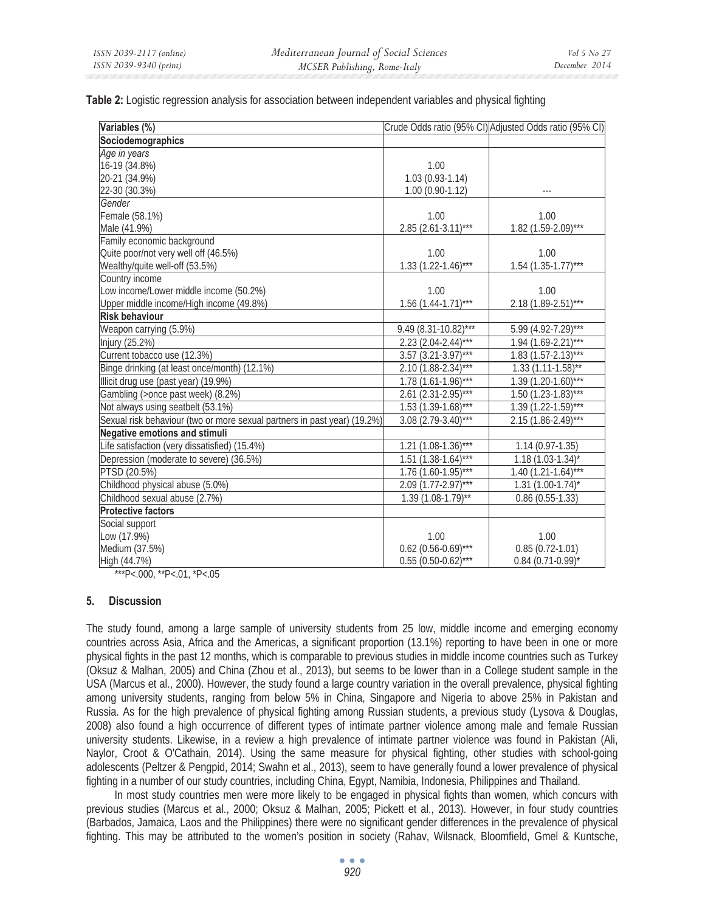| Variables (%)                                                            |                            | Crude Odds ratio (95% CI) Adjusted Odds ratio (95% CI) |
|--------------------------------------------------------------------------|----------------------------|--------------------------------------------------------|
| Sociodemographics                                                        |                            |                                                        |
| Age in years                                                             |                            |                                                        |
| 16-19 (34.8%)                                                            | 1.00                       |                                                        |
| 20-21 (34.9%)                                                            | $1.03(0.93-1.14)$          |                                                        |
| 22-30 (30.3%)                                                            | $1.00(0.90-1.12)$          |                                                        |
| Gender                                                                   |                            |                                                        |
| Female (58.1%)                                                           | 1.00                       | 1.00                                                   |
| Male (41.9%)                                                             | $2.85$ (2.61-3.11)***      | $1.82$ (1.59-2.09)***                                  |
| Family economic background                                               |                            |                                                        |
| Quite poor/not very well off (46.5%)                                     | 1.00                       | 1.00                                                   |
| Wealthy/quite well-off (53.5%)                                           | $1.33$ (1.22-1.46)***      | $1.54$ (1.35-1.77)***                                  |
| Country income                                                           |                            |                                                        |
| Low income/Lower middle income (50.2%)                                   | 1.00                       | 1.00                                                   |
| Upper middle income/High income (49.8%)                                  | $1.56$ $(1.44-1.71)$ ***   | 2.18 (1.89-2.51)***                                    |
| <b>Risk behaviour</b>                                                    |                            |                                                        |
| Weapon carrying (5.9%)                                                   | $9.49(8.31-10.82)***$      | $5.99(4.92 - 7.29)$ ***                                |
| Injury (25.2%)                                                           | $2.23$ $(2.04-2.44)***$    | $1.94$ $(1.69 - 2.21)$ ***                             |
| Current tobacco use (12.3%)                                              | $3.57$ $(3.21-3.97)$ ***   | $1.83 \overline{(1.57 - 2.13)^{***}}$                  |
| Binge drinking (at least once/month) (12.1%)                             | $2.10(1.88-2.34)***$       | $1.33 (1.11 - 1.58)$ **                                |
| Illicit drug use (past year) (19.9%)                                     | $1.78(1.61-1.96)***$       | $1.39(1.20-1.60)***$                                   |
| Gambling (>once past week) (8.2%)                                        | $2.61 (2.31 - 2.95)***$    | $1.50(1.23-1.83)***$                                   |
| Not always using seatbelt (53.1%)                                        | $1.53$ $(1.39-1.68)$ ***   | $1.39(1.22-1.59)$ ***                                  |
| Sexual risk behaviour (two or more sexual partners in past year) (19.2%) | $3.08$ (2.79-3.40)***      | $2.15(1.86 - 2.49)$ ***                                |
| <b>Negative emotions and stimuli</b>                                     |                            |                                                        |
| Life satisfaction (very dissatisfied) (15.4%)                            | $1.21 (1.08 - 1.36)^{***}$ | $1.14(0.97-1.35)$                                      |
| Depression (moderate to severe) (36.5%)                                  | $1.51(1.38-1.64)***$       | $1.18(1.03-1.34)$ *                                    |
| PTSD (20.5%)                                                             | $1.76$ (1.60-1.95)***      | $1.40(1.21-1.64)***$                                   |
| Childhood physical abuse (5.0%)                                          | $2.09$ (1.77-2.97)***      | $1.31 (1.00 - 1.74)^*$                                 |
| Childhood sexual abuse (2.7%)                                            | $1.39(1.08-1.79)$ **       | $0.86$ (0.55-1.33)                                     |
| <b>Protective factors</b>                                                |                            |                                                        |
| Social support                                                           |                            |                                                        |
| Low (17.9%)                                                              | 1.00                       | 1.00                                                   |
| Medium (37.5%)                                                           | $0.62$ (0.56-0.69)***      | $0.85(0.72-1.01)$                                      |
| High (44.7%)                                                             | $0.55$ (0.50-0.62)***      | $0.84$ (0.71-0.99) <sup>*</sup>                        |

**Table 2:** Logistic regression analysis for association between independent variables and physical fighting

 $*$ \*\*\*P<.000, \*\*P<.01, \*P<.05

#### **5. Discussion**

The study found, among a large sample of university students from 25 low, middle income and emerging economy countries across Asia, Africa and the Americas, a significant proportion (13.1%) reporting to have been in one or more physical fights in the past 12 months, which is comparable to previous studies in middle income countries such as Turkey (Oksuz & Malhan, 2005) and China (Zhou et al., 2013), but seems to be lower than in a College student sample in the USA (Marcus et al., 2000). However, the study found a large country variation in the overall prevalence, physical fighting among university students, ranging from below 5% in China, Singapore and Nigeria to above 25% in Pakistan and Russia. As for the high prevalence of physical fighting among Russian students, a previous study (Lysova & Douglas, 2008) also found a high occurrence of different types of intimate partner violence among male and female Russian university students. Likewise, in a review a high prevalence of intimate partner violence was found in Pakistan (Ali, Naylor, Croot & O'Cathain, 2014). Using the same measure for physical fighting, other studies with school-going adolescents (Peltzer & Pengpid, 2014; Swahn et al., 2013), seem to have generally found a lower prevalence of physical fighting in a number of our study countries, including China, Egypt, Namibia, Indonesia, Philippines and Thailand.

In most study countries men were more likely to be engaged in physical fights than women, which concurs with previous studies (Marcus et al., 2000; Oksuz & Malhan, 2005; Pickett et al., 2013). However, in four study countries (Barbados, Jamaica, Laos and the Philippines) there were no significant gender differences in the prevalence of physical fighting. This may be attributed to the women's position in society (Rahav, Wilsnack, Bloomfield, Gmel & Kuntsche,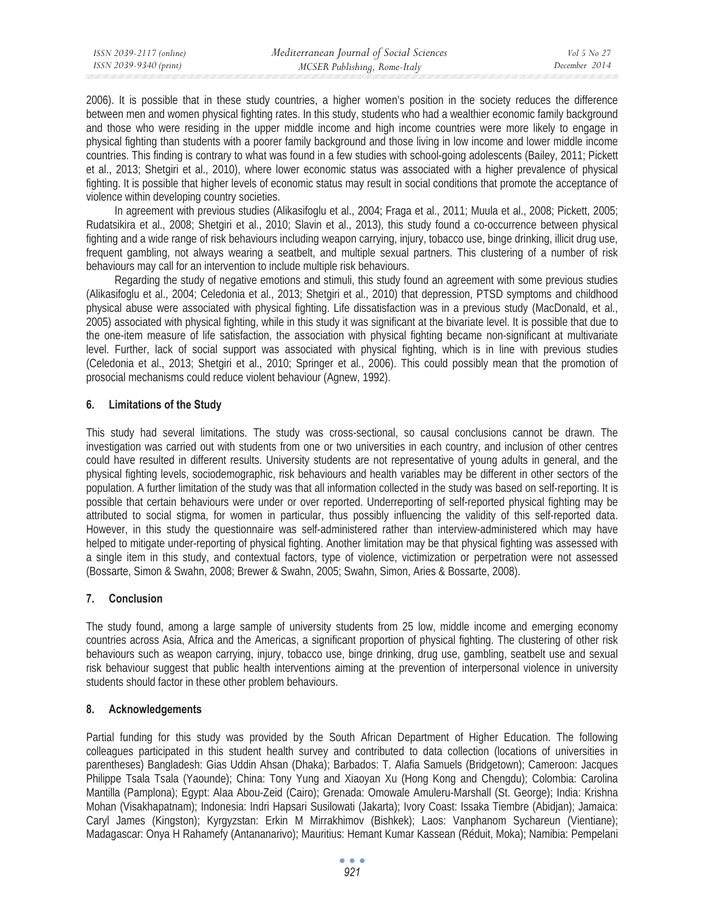| ISSN 2039-2117 (online) | Mediterranean Journal of Social Sciences | Vol 5 No 27   |
|-------------------------|------------------------------------------|---------------|
| ISSN 2039-9340 (print)  | MCSER Publishing, Rome-Italy             | December 2014 |

2006). It is possible that in these study countries, a higher women's position in the society reduces the difference between men and women physical fighting rates. In this study, students who had a wealthier economic family background and those who were residing in the upper middle income and high income countries were more likely to engage in physical fighting than students with a poorer family background and those living in low income and lower middle income countries. This finding is contrary to what was found in a few studies with school-going adolescents (Bailey, 2011; Pickett et al., 2013; Shetgiri et al., 2010), where lower economic status was associated with a higher prevalence of physical fighting. It is possible that higher levels of economic status may result in social conditions that promote the acceptance of violence within developing country societies.

In agreement with previous studies (Alikasifoglu et al., 2004; Fraga et al., 2011; Muula et al., 2008; Pickett, 2005; Rudatsikira et al., 2008; Shetgiri et al., 2010; Slavin et al., 2013), this study found a co-occurrence between physical fighting and a wide range of risk behaviours including weapon carrying, injury, tobacco use, binge drinking, illicit drug use, frequent gambling, not always wearing a seatbelt, and multiple sexual partners. This clustering of a number of risk behaviours may call for an intervention to include multiple risk behaviours.

Regarding the study of negative emotions and stimuli, this study found an agreement with some previous studies (Alikasifoglu et al., 2004; Celedonia et al., 2013; Shetgiri et al., 2010) that depression, PTSD symptoms and childhood physical abuse were associated with physical fighting. Life dissatisfaction was in a previous study (MacDonald, et al., 2005) associated with physical fighting, while in this study it was significant at the bivariate level. It is possible that due to the one-item measure of life satisfaction, the association with physical fighting became non-significant at multivariate level. Further, lack of social support was associated with physical fighting, which is in line with previous studies (Celedonia et al., 2013; Shetgiri et al., 2010; Springer et al., 2006). This could possibly mean that the promotion of prosocial mechanisms could reduce violent behaviour (Agnew, 1992).

### **6. Limitations of the Study**

This study had several limitations. The study was cross-sectional, so causal conclusions cannot be drawn. The investigation was carried out with students from one or two universities in each country, and inclusion of other centres could have resulted in different results. University students are not representative of young adults in general, and the physical fighting levels, sociodemographic, risk behaviours and health variables may be different in other sectors of the population. A further limitation of the study was that all information collected in the study was based on self-reporting. It is possible that certain behaviours were under or over reported. Underreporting of self-reported physical fighting may be attributed to social stigma, for women in particular, thus possibly influencing the validity of this self-reported data. However, in this study the questionnaire was self-administered rather than interview-administered which may have helped to mitigate under-reporting of physical fighting. Another limitation may be that physical fighting was assessed with a single item in this study, and contextual factors, type of violence, victimization or perpetration were not assessed (Bossarte, Simon & Swahn, 2008; Brewer & Swahn, 2005; Swahn, Simon, Aries & Bossarte, 2008).

## **7. Conclusion**

The study found, among a large sample of university students from 25 low, middle income and emerging economy countries across Asia, Africa and the Americas, a significant proportion of physical fighting. The clustering of other risk behaviours such as weapon carrying, injury, tobacco use, binge drinking, drug use, gambling, seatbelt use and sexual risk behaviour suggest that public health interventions aiming at the prevention of interpersonal violence in university students should factor in these other problem behaviours.

#### **8. Acknowledgements**

Partial funding for this study was provided by the South African Department of Higher Education. The following colleagues participated in this student health survey and contributed to data collection (locations of universities in parentheses) Bangladesh: Gias Uddin Ahsan (Dhaka); Barbados: T. Alafia Samuels (Bridgetown); Cameroon: Jacques Philippe Tsala Tsala (Yaounde); China: Tony Yung and Xiaoyan Xu (Hong Kong and Chengdu); Colombia: Carolina Mantilla (Pamplona); Egypt: Alaa Abou-Zeid (Cairo); Grenada: Omowale Amuleru-Marshall (St. George); India: Krishna Mohan (Visakhapatnam); Indonesia: Indri Hapsari Susilowati (Jakarta); Ivory Coast: Issaka Tiembre (Abidjan); Jamaica: Caryl James (Kingston); Kyrgyzstan: Erkin M Mirrakhimov (Bishkek); Laos: Vanphanom Sychareun (Vientiane); Madagascar: Onya H Rahamefy (Antananarivo); Mauritius: Hemant Kumar Kassean (Réduit, Moka); Namibia: Pempelani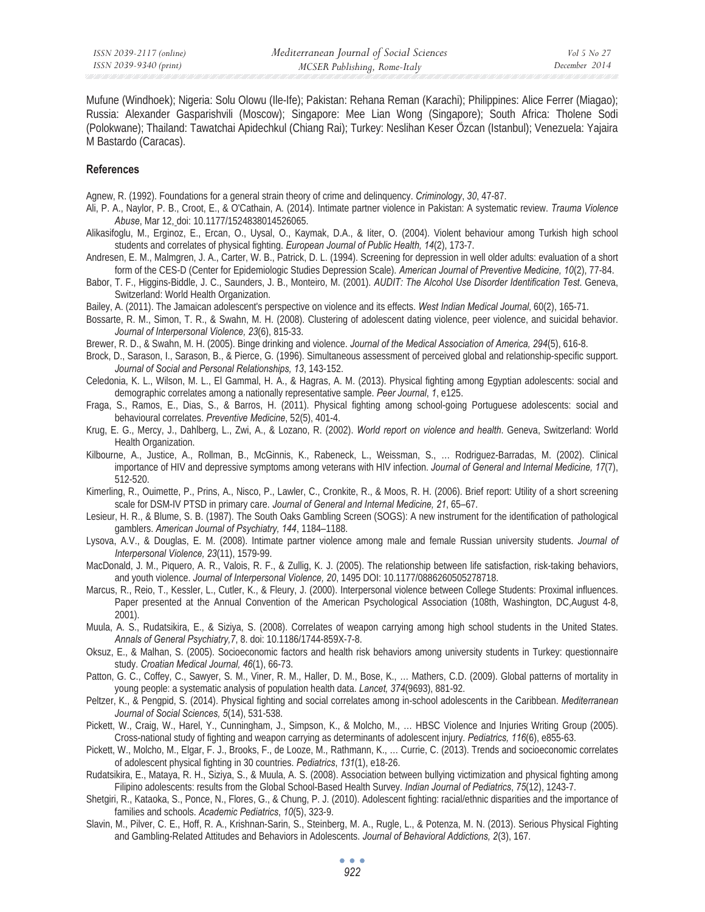Mufune (Windhoek); Nigeria: Solu Olowu (Ile-Ife); Pakistan: Rehana Reman (Karachi); Philippines: Alice Ferrer (Miagao); Russia: Alexander Gasparishvili (Moscow); Singapore: Mee Lian Wong (Singapore); South Africa: Tholene Sodi (Polokwane); Thailand: Tawatchai Apidechkul (Chiang Rai); Turkey: Neslihan Keser Özcan (Istanbul); Venezuela: Yajaira M Bastardo (Caracas).

#### **References**

Agnew, R. (1992). Foundations for a general strain theory of crime and delinquency. *Criminology*, *30*, 47-87.

- Ali, P. A., Naylor, P. B., Croot, E., & O'Cathain, A. (2014). Intimate partner violence in Pakistan: A systematic review. *Trauma Violence Abuse*, Mar 12, doi: 10.1177/1524838014526065.
- Alikasifoglu, M., Erginoz, E., Ercan, O., Uysal, O., Kaymak, D.A., & Iiter, O. (2004). Violent behaviour among Turkish high school students and correlates of physical fighting. *European Journal of Public Health, 14*(2), 173-7.
- Andresen, E. M., Malmgren, J. A., Carter, W. B., Patrick, D. L. (1994). Screening for depression in well older adults: evaluation of a short form of the CES-D (Center for Epidemiologic Studies Depression Scale). *American Journal of Preventive Medicine, 10*(2), 77-84.
- Babor, T. F., Higgins-Biddle, J. C., Saunders, J. B., Monteiro, M. (2001). *AUDIT: The Alcohol Use Disorder Identification Test*. Geneva, Switzerland: World Health Organization.
- Bailey, A. (2011). The Jamaican adolescent's perspective on violence and its effects. *West Indian Medical Journal*, 60(2), 165-71.
- Bossarte, R. M., Simon, T. R., & Swahn, M. H. (2008). Clustering of adolescent dating violence, peer violence, and suicidal behavior. *Journal of Interpersonal Violence, 23*(6), 815-33.
- Brewer, R. D., & Swahn, M. H. (2005). Binge drinking and violence. *Journal of the Medical Association of America, 294*(5), 616-8.
- Brock, D., Sarason, I., Sarason, B., & Pierce, G. (1996). Simultaneous assessment of perceived global and relationship-specific support. *Journal of Social and Personal Relationships, 13*, 143-152.
- Celedonia, K. L., Wilson, M. L., El Gammal, H. A., & Hagras, A. M. (2013). Physical fighting among Egyptian adolescents: social and demographic correlates among a nationally representative sample. *Peer Journal*, *1*, e125.
- Fraga, S., Ramos, E., Dias, S., & Barros, H. (2011). Physical fighting among school-going Portuguese adolescents: social and behavioural correlates. *Preventive Medicine*, 52(5), 401-4.
- Krug, E. G., Mercy, J., Dahlberg, L., Zwi, A., & Lozano, R. (2002). *World report on violence and health*. Geneva, Switzerland: World Health Organization.
- Kilbourne, A., Justice, A., Rollman, B., McGinnis, K., Rabeneck, L., Weissman, S., … Rodriguez-Barradas, M. (2002). Clinical importance of HIV and depressive symptoms among veterans with HIV infection. *Journal of General and Internal Medicine, 17*(7), 512-520.
- Kimerling, R., Ouimette, P., Prins, A., Nisco, P., Lawler, C., Cronkite, R., & Moos, R. H. (2006). Brief report: Utility of a short screening scale for DSM-IV PTSD in primary care. *Journal of General and Internal Medicine, 21*, 65–67.
- Lesieur, H. R., & Blume, S. B. (1987). The South Oaks Gambling Screen (SOGS): A new instrument for the identification of pathological gamblers. *American Journal of Psychiatry, 144*, 1184–1188.
- Lysova, A.V., & Douglas, E. M. (2008). Intimate partner violence among male and female Russian university students. *Journal of Interpersonal Violence, 23*(11), 1579-99.
- MacDonald, J. M., Piquero, A. R., Valois, R. F., & Zullig, K. J. (2005). The relationship between life satisfaction, risk-taking behaviors, and youth violence. *Journal of Interpersonal Violence, 20*, 1495 DOI: 10.1177/0886260505278718.
- Marcus, R., Reio, T., Kessler, L., Cutler, K., & Fleury, J. (2000). Interpersonal violence between College Students: Proximal influences. Paper presented at the Annual Convention of the American Psychological Association (108th, Washington, DC,August 4-8, 2001).
- Muula, A. S., Rudatsikira, E., & Siziya, S. (2008). Correlates of weapon carrying among high school students in the United States. *Annals of General Psychiatry,7*, 8. doi: 10.1186/1744-859X-7-8.
- Oksuz, E., & Malhan, S. (2005). Socioeconomic factors and health risk behaviors among university students in Turkey: questionnaire study. *Croatian Medical Journal, 46*(1), 66-73.
- Patton, G. C., Coffey, C., Sawyer, S. M., Viner, R. M., Haller, D. M., Bose, K., … Mathers, C.D. (2009). Global patterns of mortality in young people: a systematic analysis of population health data. *Lancet, 374*(9693), 881-92.
- Peltzer, K., & Pengpid, S. (2014). Physical fighting and social correlates among in-school adolescents in the Caribbean. *Mediterranean Journal of Social Sciences, 5*(14), 531-538.
- Pickett, W., Craig, W., Harel, Y., Cunningham, J., Simpson, K., & Molcho, M., … HBSC Violence and Injuries Writing Group (2005). Cross-national study of fighting and weapon carrying as determinants of adolescent injury. *Pediatrics, 116*(6), e855-63.
- Pickett, W., Molcho, M., Elgar, F. J., Brooks, F., de Looze, M., Rathmann, K., … Currie, C. (2013). Trends and socioeconomic correlates of adolescent physical fighting in 30 countries. *Pediatrics*, *131*(1), e18-26.
- Rudatsikira, E., Mataya, R. H., Siziya, S., & Muula, A. S. (2008). Association between bullying victimization and physical fighting among Filipino adolescents: results from the Global School-Based Health Survey. *Indian Journal of Pediatrics*, *75*(12), 1243-7.
- Shetgiri, R., Kataoka, S., Ponce, N., Flores, G., & Chung, P. J. (2010). Adolescent fighting: racial/ethnic disparities and the importance of families and schools. *Academic Pediatrics*, *10*(5), 323-9.
- Slavin, M., Pilver, C. E., Hoff, R. A., Krishnan-Sarin, S., Steinberg, M. A., Rugle, L., & Potenza, M. N. (2013). Serious Physical Fighting and Gambling-Related Attitudes and Behaviors in Adolescents. *Journal of Behavioral Addictions, 2*(3), 167.